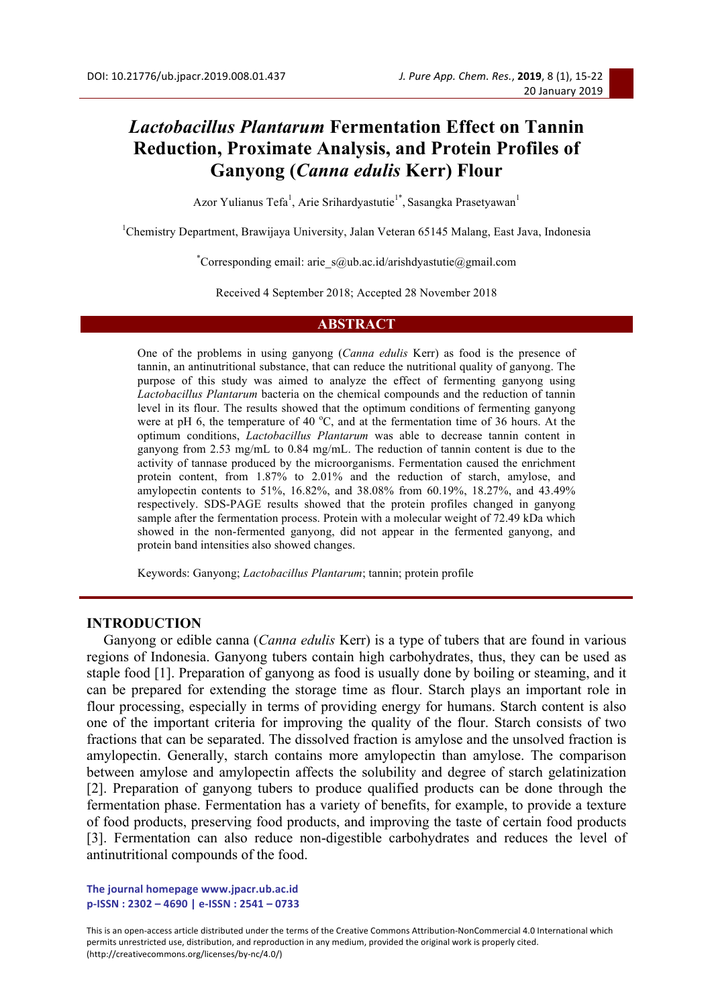# *Lactobacillus Plantarum* **Fermentation Effect on Tannin Reduction, Proximate Analysis, and Protein Profiles of Ganyong (***Canna edulis* **Kerr) Flour**

Azor Yulianus Tefa<sup>1</sup>, Arie Srihardyastutie<sup>1\*</sup>, Sasangka Prasetyawan<sup>1</sup>

<sup>1</sup>Chemistry Department, Brawijaya University, Jalan Veteran 65145 Malang, East Java, Indonesia

\* Corresponding email: arie\_s@ub.ac.id/arishdyastutie@gmail.com

Received 4 September 2018; Accepted 28 November 2018

#### **ABSTRACT**

One of the problems in using ganyong (*Canna edulis* Kerr) as food is the presence of tannin, an antinutritional substance, that can reduce the nutritional quality of ganyong. The purpose of this study was aimed to analyze the effect of fermenting ganyong using *Lactobacillus Plantarum* bacteria on the chemical compounds and the reduction of tannin level in its flour. The results showed that the optimum conditions of fermenting ganyong were at pH 6, the temperature of 40  $^{\circ}$ C, and at the fermentation time of 36 hours. At the optimum conditions, *Lactobacillus Plantarum* was able to decrease tannin content in ganyong from 2.53 mg/mL to 0.84 mg/mL. The reduction of tannin content is due to the activity of tannase produced by the microorganisms. Fermentation caused the enrichment protein content, from 1.87% to 2.01% and the reduction of starch, amylose, and amylopectin contents to 51%, 16.82%, and 38.08% from 60.19%, 18.27%, and 43.49% respectively. SDS-PAGE results showed that the protein profiles changed in ganyong sample after the fermentation process. Protein with a molecular weight of 72.49 kDa which showed in the non-fermented ganyong, did not appear in the fermented ganyong, and protein band intensities also showed changes.

Keywords: Ganyong; *Lactobacillus Plantarum*; tannin; protein profile

### **INTRODUCTION**

Ganyong or edible canna (*Canna edulis* Kerr) is a type of tubers that are found in various regions of Indonesia. Ganyong tubers contain high carbohydrates, thus, they can be used as staple food [1]. Preparation of ganyong as food is usually done by boiling or steaming, and it can be prepared for extending the storage time as flour. Starch plays an important role in flour processing, especially in terms of providing energy for humans. Starch content is also one of the important criteria for improving the quality of the flour. Starch consists of two fractions that can be separated. The dissolved fraction is amylose and the unsolved fraction is amylopectin. Generally, starch contains more amylopectin than amylose. The comparison between amylose and amylopectin affects the solubility and degree of starch gelatinization [2]. Preparation of ganyong tubers to produce qualified products can be done through the fermentation phase. Fermentation has a variety of benefits, for example, to provide a texture of food products, preserving food products, and improving the taste of certain food products [3]. Fermentation can also reduce non-digestible carbohydrates and reduces the level of antinutritional compounds of the food.

The journal homepage www.jpacr.ub.ac.id **p-ISSN : 2302 – 4690 | e-ISSN : 2541 – 0733** 

This is an open-access article distributed under the terms of the Creative Commons Attribution-NonCommercial 4.0 International which permits unrestricted use, distribution, and reproduction in any medium, provided the original work is properly cited. (http://creativecommons.org/licenses/by-nc/4.0/)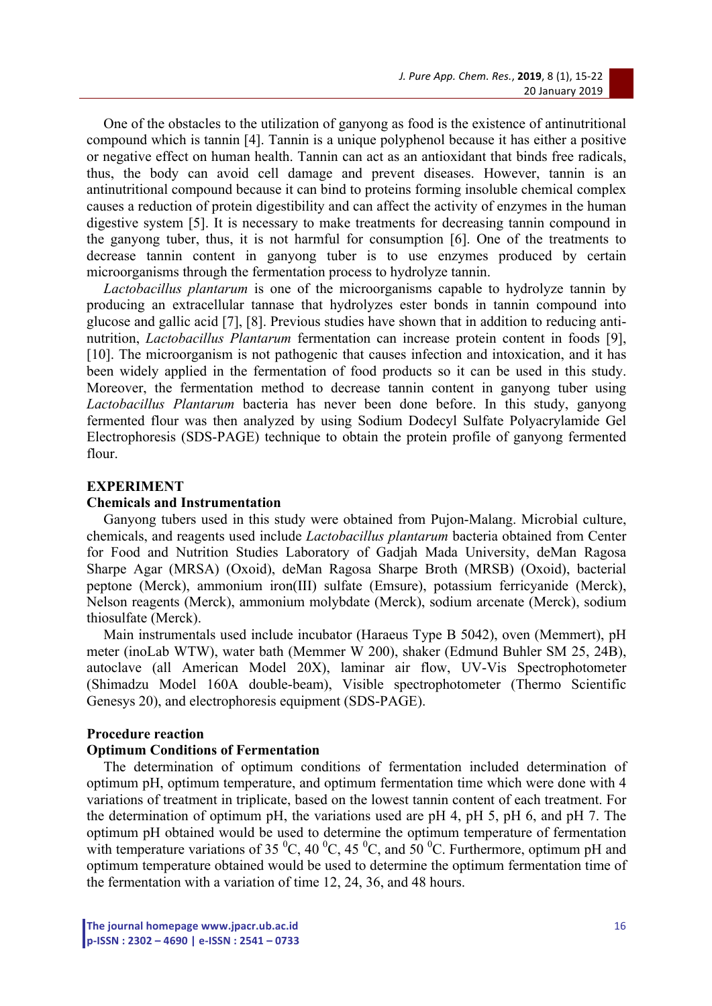One of the obstacles to the utilization of ganyong as food is the existence of antinutritional compound which is tannin [4]. Tannin is a unique polyphenol because it has either a positive or negative effect on human health. Tannin can act as an antioxidant that binds free radicals, thus, the body can avoid cell damage and prevent diseases. However, tannin is an antinutritional compound because it can bind to proteins forming insoluble chemical complex causes a reduction of protein digestibility and can affect the activity of enzymes in the human digestive system [5]. It is necessary to make treatments for decreasing tannin compound in the ganyong tuber, thus, it is not harmful for consumption [6]. One of the treatments to decrease tannin content in ganyong tuber is to use enzymes produced by certain microorganisms through the fermentation process to hydrolyze tannin.

*Lactobacillus plantarum* is one of the microorganisms capable to hydrolyze tannin by producing an extracellular tannase that hydrolyzes ester bonds in tannin compound into glucose and gallic acid [7], [8]. Previous studies have shown that in addition to reducing antinutrition, *Lactobacillus Plantarum* fermentation can increase protein content in foods [9], [10]. The microorganism is not pathogenic that causes infection and intoxication, and it has been widely applied in the fermentation of food products so it can be used in this study. Moreover, the fermentation method to decrease tannin content in ganyong tuber using *Lactobacillus Plantarum* bacteria has never been done before. In this study, ganyong fermented flour was then analyzed by using Sodium Dodecyl Sulfate Polyacrylamide Gel Electrophoresis (SDS-PAGE) technique to obtain the protein profile of ganyong fermented flour.

### **EXPERIMENT**

#### **Chemicals and Instrumentation**

Ganyong tubers used in this study were obtained from Pujon-Malang. Microbial culture, chemicals, and reagents used include *Lactobacillus plantarum* bacteria obtained from Center for Food and Nutrition Studies Laboratory of Gadjah Mada University, deMan Ragosa Sharpe Agar (MRSA) (Oxoid), deMan Ragosa Sharpe Broth (MRSB) (Oxoid), bacterial peptone (Merck), ammonium iron(III) sulfate (Emsure), potassium ferricyanide (Merck), Nelson reagents (Merck), ammonium molybdate (Merck), sodium arcenate (Merck), sodium thiosulfate (Merck).

Main instrumentals used include incubator (Haraeus Type B 5042), oven (Memmert), pH meter (inoLab WTW), water bath (Memmer W 200), shaker (Edmund Buhler SM 25, 24B), autoclave (all American Model 20X), laminar air flow, UV-Vis Spectrophotometer (Shimadzu Model 160A double-beam), Visible spectrophotometer (Thermo Scientific Genesys 20), and electrophoresis equipment (SDS-PAGE).

#### **Procedure reaction**

#### **Optimum Conditions of Fermentation**

The determination of optimum conditions of fermentation included determination of optimum pH, optimum temperature, and optimum fermentation time which were done with 4 variations of treatment in triplicate, based on the lowest tannin content of each treatment. For the determination of optimum pH, the variations used are pH 4, pH 5, pH 6, and pH 7. The optimum pH obtained would be used to determine the optimum temperature of fermentation with temperature variations of 35  $^{\circ}$ C, 40  $^{\circ}$ C, 45  $^{\circ}$ C, and 50  $^{\circ}$ C. Furthermore, optimum pH and optimum temperature obtained would be used to determine the optimum fermentation time of the fermentation with a variation of time 12, 24, 36, and 48 hours.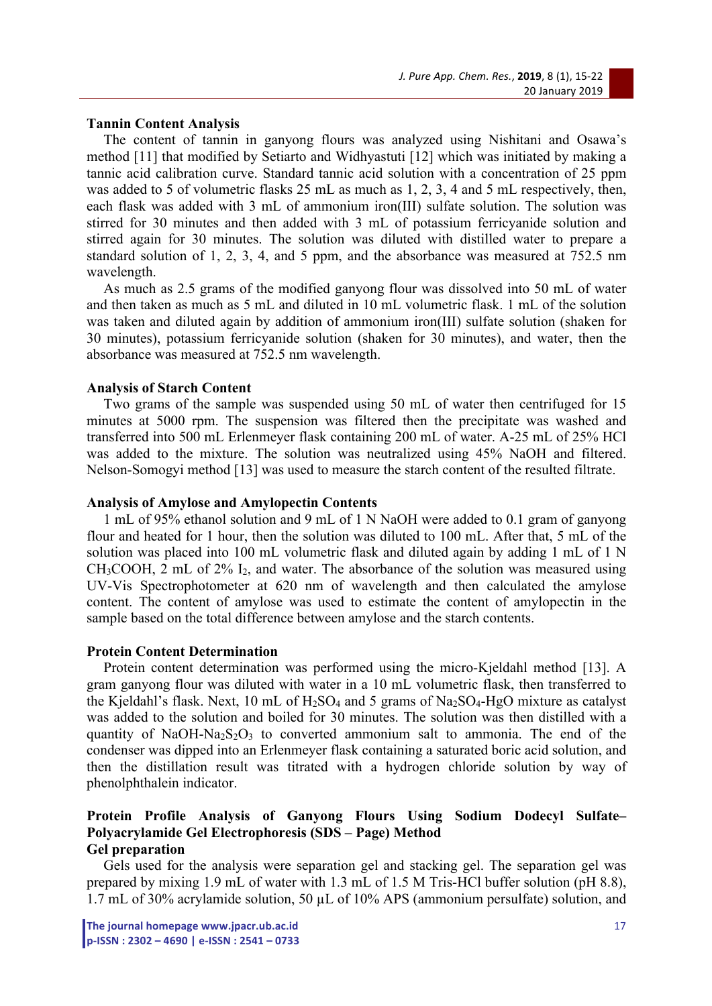## **Tannin Content Analysis**

The content of tannin in ganyong flours was analyzed using Nishitani and Osawa's method [11] that modified by Setiarto and Widhyastuti [12] which was initiated by making a tannic acid calibration curve. Standard tannic acid solution with a concentration of 25 ppm was added to 5 of volumetric flasks 25 mL as much as 1, 2, 3, 4 and 5 mL respectively, then, each flask was added with 3 mL of ammonium iron(III) sulfate solution. The solution was stirred for 30 minutes and then added with 3 mL of potassium ferricyanide solution and stirred again for 30 minutes. The solution was diluted with distilled water to prepare a standard solution of 1, 2, 3, 4, and 5 ppm, and the absorbance was measured at 752.5 nm wavelength.

As much as 2.5 grams of the modified ganyong flour was dissolved into 50 mL of water and then taken as much as 5 mL and diluted in 10 mL volumetric flask. 1 mL of the solution was taken and diluted again by addition of ammonium iron(III) sulfate solution (shaken for 30 minutes), potassium ferricyanide solution (shaken for 30 minutes), and water, then the absorbance was measured at 752.5 nm wavelength.

### **Analysis of Starch Content**

Two grams of the sample was suspended using 50 mL of water then centrifuged for 15 minutes at 5000 rpm. The suspension was filtered then the precipitate was washed and transferred into 500 mL Erlenmeyer flask containing 200 mL of water. A-25 mL of 25% HCl was added to the mixture. The solution was neutralized using 45% NaOH and filtered. Nelson-Somogyi method [13] was used to measure the starch content of the resulted filtrate.

#### **Analysis of Amylose and Amylopectin Contents**

1 mL of 95% ethanol solution and 9 mL of 1 N NaOH were added to 0.1 gram of ganyong flour and heated for 1 hour, then the solution was diluted to 100 mL. After that, 5 mL of the solution was placed into 100 mL volumetric flask and diluted again by adding 1 mL of 1 N  $CH_3COOH$ , 2 mL of 2% I<sub>2</sub>, and water. The absorbance of the solution was measured using UV-Vis Spectrophotometer at 620 nm of wavelength and then calculated the amylose content. The content of amylose was used to estimate the content of amylopectin in the sample based on the total difference between amylose and the starch contents.

#### **Protein Content Determination**

Protein content determination was performed using the micro-Kjeldahl method [13]. A gram ganyong flour was diluted with water in a 10 mL volumetric flask, then transferred to the Kjeldahl's flask. Next, 10 mL of  $H_2SO_4$  and 5 grams of Na<sub>2</sub>SO<sub>4</sub>-HgO mixture as catalyst was added to the solution and boiled for 30 minutes. The solution was then distilled with a quantity of NaOH-Na<sub>2</sub>S<sub>2</sub>O<sub>3</sub> to converted ammonium salt to ammonia. The end of the condenser was dipped into an Erlenmeyer flask containing a saturated boric acid solution, and then the distillation result was titrated with a hydrogen chloride solution by way of phenolphthalein indicator.

## **Protein Profile Analysis of Ganyong Flours Using Sodium Dodecyl Sulfate– Polyacrylamide Gel Electrophoresis (SDS – Page) Method Gel preparation**

Gels used for the analysis were separation gel and stacking gel. The separation gel was prepared by mixing 1.9 mL of water with 1.3 mL of 1.5 M Tris-HCl buffer solution (pH 8.8), 1.7 mL of 30% acrylamide solution, 50 µL of 10% APS (ammonium persulfate) solution, and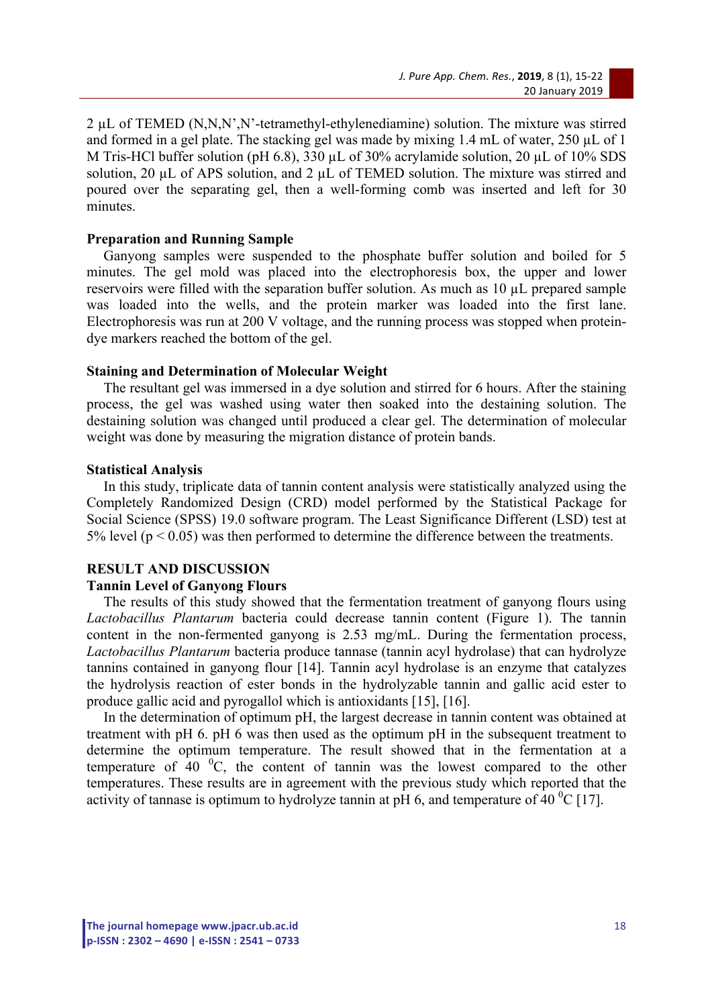2 µL of TEMED (N,N,N',N'-tetramethyl-ethylenediamine) solution. The mixture was stirred and formed in a gel plate. The stacking gel was made by mixing 1.4 mL of water, 250 uL of 1 M Tris-HCl buffer solution (pH 6.8), 330 µL of 30% acrylamide solution, 20 µL of 10% SDS solution, 20  $\mu$ L of APS solution, and 2  $\mu$ L of TEMED solution. The mixture was stirred and poured over the separating gel, then a well-forming comb was inserted and left for 30 minutes.

## **Preparation and Running Sample**

Ganyong samples were suspended to the phosphate buffer solution and boiled for 5 minutes. The gel mold was placed into the electrophoresis box, the upper and lower reservoirs were filled with the separation buffer solution. As much as 10 µL prepared sample was loaded into the wells, and the protein marker was loaded into the first lane. Electrophoresis was run at 200 V voltage, and the running process was stopped when proteindye markers reached the bottom of the gel.

### **Staining and Determination of Molecular Weight**

The resultant gel was immersed in a dye solution and stirred for 6 hours. After the staining process, the gel was washed using water then soaked into the destaining solution. The destaining solution was changed until produced a clear gel. The determination of molecular weight was done by measuring the migration distance of protein bands.

### **Statistical Analysis**

In this study, triplicate data of tannin content analysis were statistically analyzed using the Completely Randomized Design (CRD) model performed by the Statistical Package for Social Science (SPSS) 19.0 software program. The Least Significance Different (LSD) test at 5% level ( $p < 0.05$ ) was then performed to determine the difference between the treatments.

## **RESULT AND DISCUSSION**

## **Tannin Level of Ganyong Flours**

The results of this study showed that the fermentation treatment of ganyong flours using *Lactobacillus Plantarum* bacteria could decrease tannin content (Figure 1). The tannin content in the non-fermented ganyong is 2.53 mg/mL. During the fermentation process, *Lactobacillus Plantarum* bacteria produce tannase (tannin acyl hydrolase) that can hydrolyze tannins contained in ganyong flour [14]. Tannin acyl hydrolase is an enzyme that catalyzes the hydrolysis reaction of ester bonds in the hydrolyzable tannin and gallic acid ester to produce gallic acid and pyrogallol which is antioxidants [15], [16].

In the determination of optimum pH, the largest decrease in tannin content was obtained at treatment with pH 6. pH 6 was then used as the optimum pH in the subsequent treatment to determine the optimum temperature. The result showed that in the fermentation at a temperature of  $40\degree$ C, the content of tannin was the lowest compared to the other temperatures. These results are in agreement with the previous study which reported that the activity of tannase is optimum to hydrolyze tannin at pH 6, and temperature of 40  $^{\circ}$ C [17].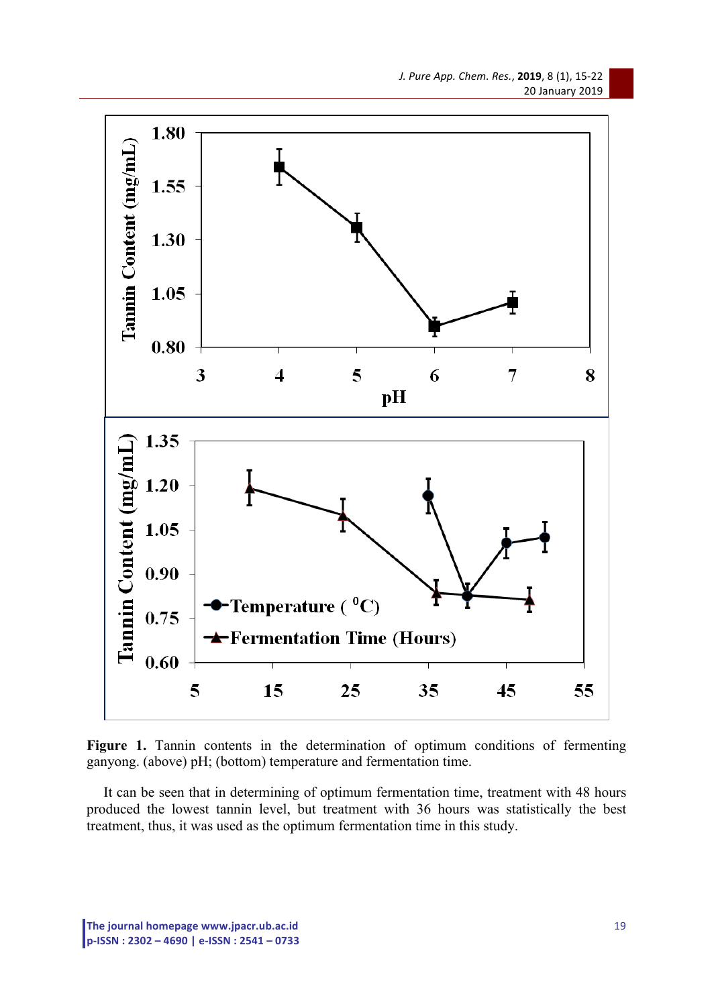

Figure 1. Tannin contents in the determination of optimum conditions of fermenting ganyong. (above) pH; (bottom) temperature and fermentation time.

It can be seen that in determining of optimum fermentation time, treatment with 48 hours produced the lowest tannin level, but treatment with 36 hours was statistically the best treatment, thus, it was used as the optimum fermentation time in this study.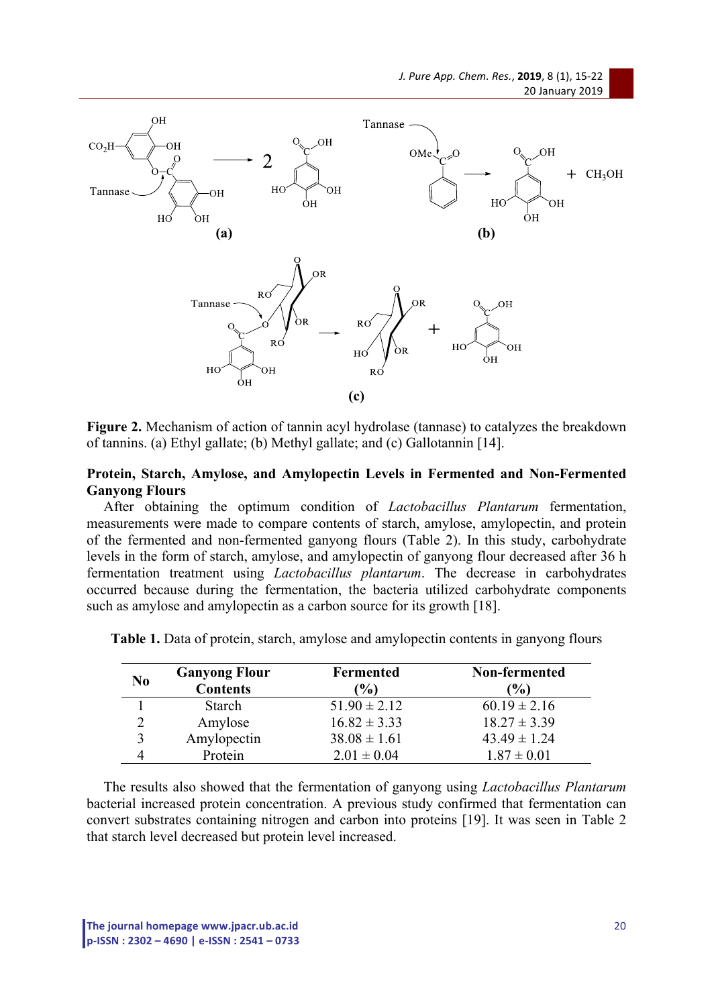

**Figure 2.** Mechanism of action of tannin acyl hydrolase (tannase) to catalyzes the breakdown of tannins. (a) Ethyl gallate; (b) Methyl gallate; and (c) Gallotannin [14].

## **Protein, Starch, Amylose, and Amylopectin Levels in Fermented and Non-Fermented Ganyong Flours**

After obtaining the optimum condition of *Lactobacillus Plantarum* fermentation, measurements were made to compare contents of starch, amylose, amylopectin, and protein of the fermented and non-fermented ganyong flours (Table 2). In this study, carbohydrate levels in the form of starch, amylose, and amylopectin of ganyong flour decreased after 36 h fermentation treatment using *Lactobacillus plantarum*. The decrease in carbohydrates occurred because during the fermentation, the bacteria utilized carbohydrate components such as amylose and amylopectin as a carbon source for its growth [18].

| N <sub>0</sub> | <b>Ganyong Flour</b><br><b>Contents</b> | <b>Fermented</b><br>$($ % $)$ | Non-fermented<br>$\left( \frac{0}{0} \right)$ |
|----------------|-----------------------------------------|-------------------------------|-----------------------------------------------|
|                | <b>Starch</b>                           | $51.90 \pm 2.12$              | $60.19 \pm 2.16$                              |
|                | Amylose                                 | $16.82 \pm 3.33$              | $18.27 \pm 3.39$                              |
|                | Amylopectin                             | $38.08 \pm 1.61$              | $43.49 \pm 1.24$                              |
|                | Protein                                 | $2.01 \pm 0.04$               | $1.87 \pm 0.01$                               |

**Table 1.** Data of protein, starch, amylose and amylopectin contents in ganyong flours

The results also showed that the fermentation of ganyong using *Lactobacillus Plantarum* bacterial increased protein concentration. A previous study confirmed that fermentation can convert substrates containing nitrogen and carbon into proteins [19]. It was seen in Table 2 that starch level decreased but protein level increased.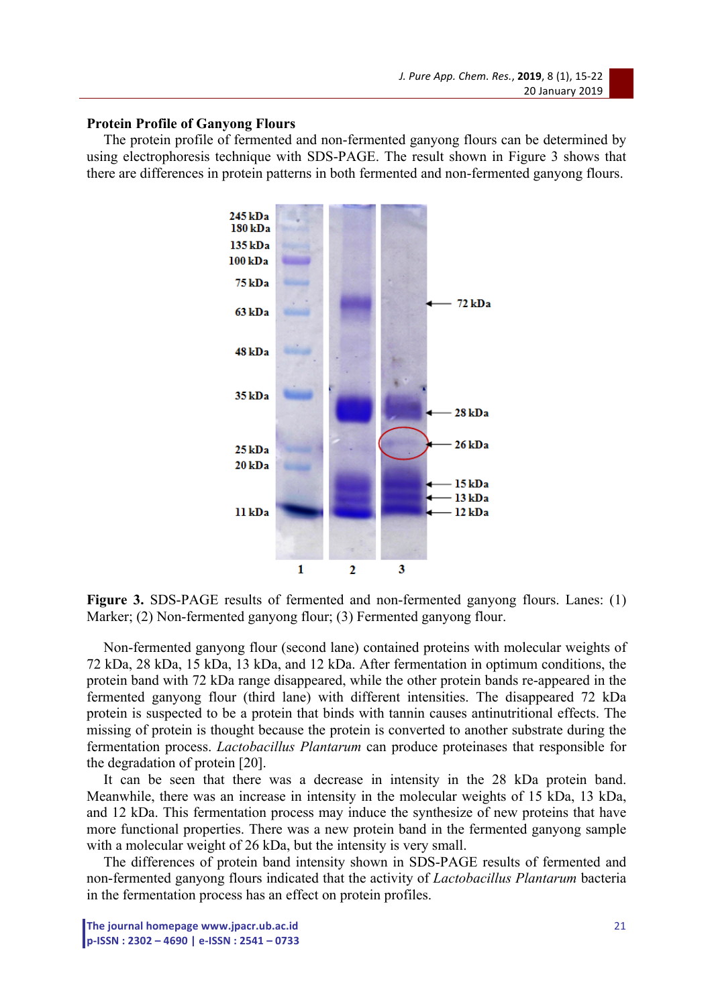#### **Protein Profile of Ganyong Flours**

The protein profile of fermented and non-fermented ganyong flours can be determined by using electrophoresis technique with SDS-PAGE. The result shown in Figure 3 shows that there are differences in protein patterns in both fermented and non-fermented ganyong flours.



Figure 3. SDS-PAGE results of fermented and non-fermented ganyong flours. Lanes: (1) Marker; (2) Non-fermented ganyong flour; (3) Fermented ganyong flour.

Non-fermented ganyong flour (second lane) contained proteins with molecular weights of 72 kDa, 28 kDa, 15 kDa, 13 kDa, and 12 kDa. After fermentation in optimum conditions, the protein band with 72 kDa range disappeared, while the other protein bands re-appeared in the fermented ganyong flour (third lane) with different intensities. The disappeared 72 kDa protein is suspected to be a protein that binds with tannin causes antinutritional effects. The missing of protein is thought because the protein is converted to another substrate during the fermentation process. *Lactobacillus Plantarum* can produce proteinases that responsible for the degradation of protein [20].

It can be seen that there was a decrease in intensity in the 28 kDa protein band. Meanwhile, there was an increase in intensity in the molecular weights of 15 kDa, 13 kDa, and 12 kDa. This fermentation process may induce the synthesize of new proteins that have more functional properties. There was a new protein band in the fermented ganyong sample with a molecular weight of 26 kDa, but the intensity is very small.

The differences of protein band intensity shown in SDS-PAGE results of fermented and non-fermented ganyong flours indicated that the activity of *Lactobacillus Plantarum* bacteria in the fermentation process has an effect on protein profiles.